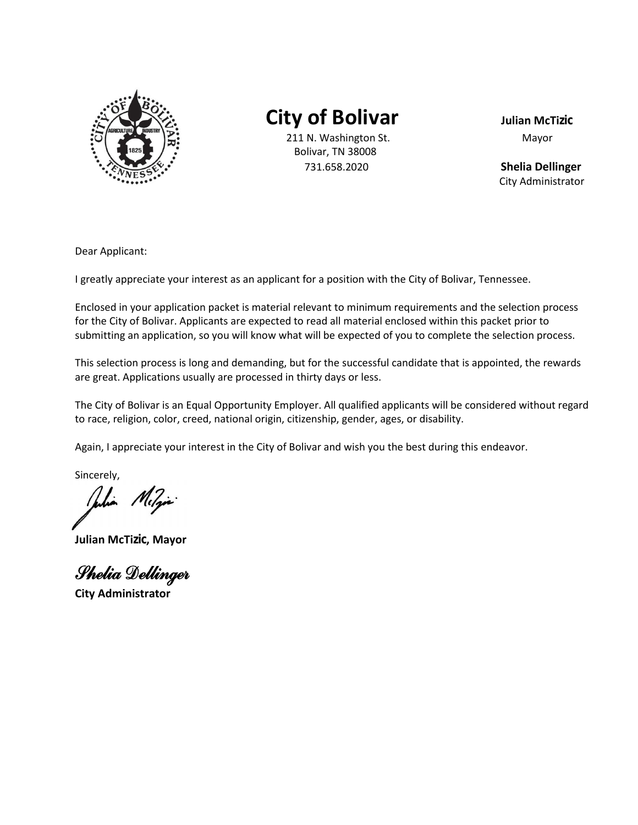

# **City of Bolivar Julian McTizic**

211 N. Washington St. Mayor Bolivar, TN 38008 731.658.2020 **Shelia Dellinger** 

City Administrator

Dear Applicant:

I greatly appreciate your interest as an applicant for a position with the City of Bolivar, Tennessee.

Enclosed in your application packet is material relevant to minimum requirements and the selection process for the City of Bolivar. Applicants are expected to read all material enclosed within this packet prior to submitting an application, so you will know what will be expected of you to complete the selection process.

This selection process is long and demanding, but for the successful candidate that is appointed, the rewards are great. Applications usually are processed in thirty days or less.

The City of Bolivar is an Equal Opportunity Employer. All qualified applicants will be considered without regard to race, religion, color, creed, national origin, citizenship, gender, ages, or disability.

Again, I appreciate your interest in the City of Bolivar and wish you the best during this endeavor.

Sincerely,

Verbin Milin

**Julian McTizic, Mayor**

Shelia Dellinger

**City Administrator**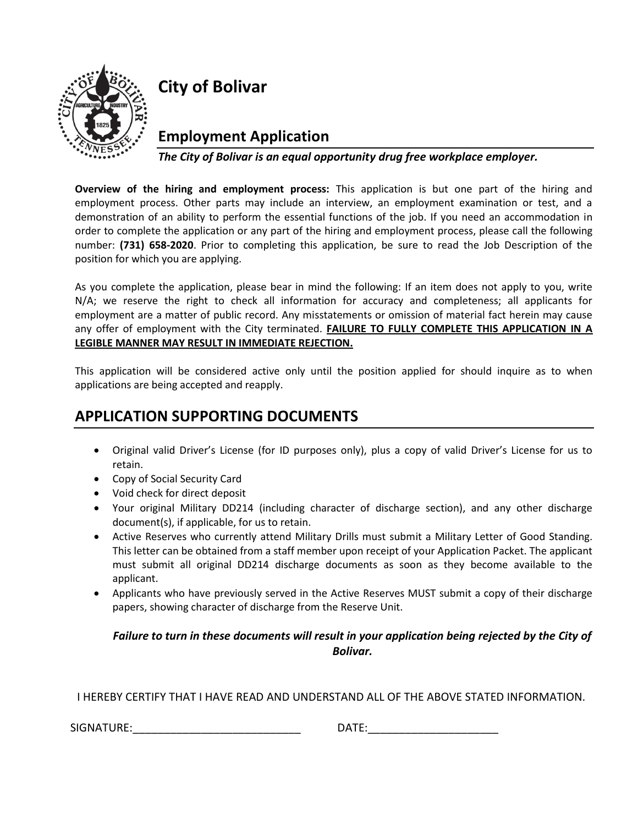

## **City of Bolivar**

**Employment Application**

*The City of Bolivar is an equal opportunity drug free workplace employer.*

**Overview of the hiring and employment process:** This application is but one part of the hiring and employment process. Other parts may include an interview, an employment examination or test, and a demonstration of an ability to perform the essential functions of the job. If you need an accommodation in order to complete the application or any part of the hiring and employment process, please call the following number: **(731) 658-2020**. Prior to completing this application, be sure to read the Job Description of the position for which you are applying.

As you complete the application, please bear in mind the following: If an item does not apply to you, write N/A; we reserve the right to check all information for accuracy and completeness; all applicants for employment are a matter of public record. Any misstatements or omission of material fact herein may cause any offer of employment with the City terminated. **FAILURE TO FULLY COMPLETE THIS APPLICATION IN A LEGIBLE MANNER MAY RESULT IN IMMEDIATE REJECTION.**

This application will be considered active only until the position applied for should inquire as to when applications are being accepted and reapply.

## **APPLICATION SUPPORTING DOCUMENTS**

- Original valid Driver's License (for ID purposes only), plus a copy of valid Driver's License for us to retain.
- Copy of Social Security Card
- Void check for direct deposit
- Your original Military DD214 (including character of discharge section), and any other discharge document(s), if applicable, for us to retain.
- Active Reserves who currently attend Military Drills must submit a Military Letter of Good Standing. This letter can be obtained from a staff member upon receipt of your Application Packet. The applicant must submit all original DD214 discharge documents as soon as they become available to the applicant.
- Applicants who have previously served in the Active Reserves MUST submit a copy of their discharge papers, showing character of discharge from the Reserve Unit.

### *Failure to turn in these documents will result in your application being rejected by the City of Bolivar.*

I HEREBY CERTIFY THAT I HAVE READ AND UNDERSTAND ALL OF THE ABOVE STATED INFORMATION.

 $SIGNATURE:$ 

| DATE: |  |  |  |  |  |
|-------|--|--|--|--|--|
|       |  |  |  |  |  |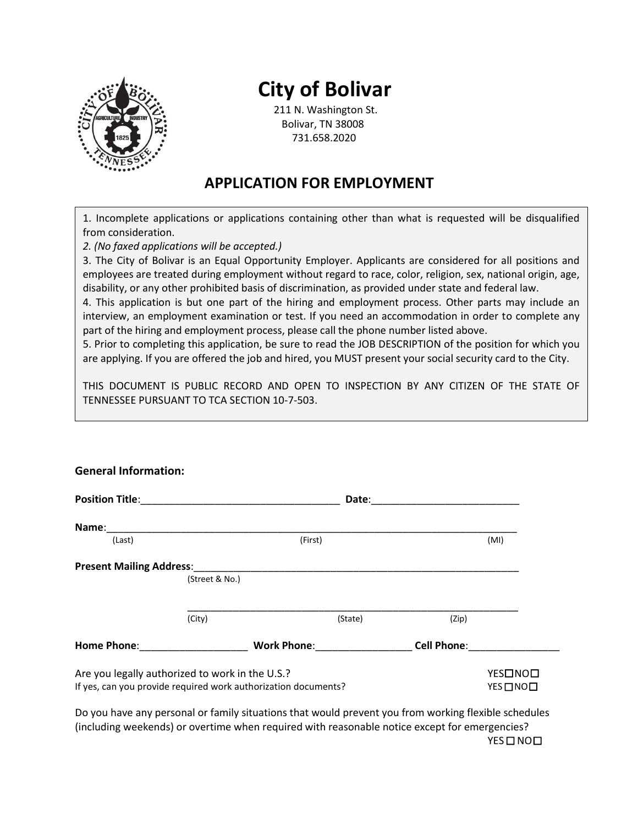

**General Information:**

# **City of Bolivar**

211 N. Washington St. Bolivar, TN 38008 731.658.2020

### **APPLICATION FOR EMPLOYMENT**

1. Incomplete applications or applications containing other than what is requested will be disqualified from consideration.

*2. (No faxed applications will be accepted.)*

3. The City of Bolivar is an Equal Opportunity Employer. Applicants are considered for all positions and employees are treated during employment without regard to race, color, religion, sex, national origin, age, disability, or any other prohibited basis of discrimination, as provided under state and federal law.

4. This application is but one part of the hiring and employment process. Other parts may include an interview, an employment examination or test. If you need an accommodation in order to complete any part of the hiring and employment process, please call the phone number listed above.

5. Prior to completing this application, be sure to read the JOB DESCRIPTION of the position for which you are applying. If you are offered the job and hired, you MUST present your social security card to the City.

THIS DOCUMENT IS PUBLIC RECORD AND OPEN TO INSPECTION BY ANY CITIZEN OF THE STATE OF TENNESSEE PURSUANT TO TCA SECTION 10-7-503.

|                                                                                                                                                                                                                                |                                                                | Date:              |                    |         |
|--------------------------------------------------------------------------------------------------------------------------------------------------------------------------------------------------------------------------------|----------------------------------------------------------------|--------------------|--------------------|---------|
| Name:                                                                                                                                                                                                                          |                                                                |                    |                    |         |
| (Last)                                                                                                                                                                                                                         |                                                                | (First)            |                    | (MI)    |
| <b>Present Mailing Address:</b>                                                                                                                                                                                                |                                                                |                    |                    |         |
|                                                                                                                                                                                                                                | (Street & No.)                                                 |                    |                    |         |
|                                                                                                                                                                                                                                |                                                                |                    |                    |         |
|                                                                                                                                                                                                                                | (City)                                                         | (State)            | (Zip)              |         |
| Home Phone: The Contract of the Contract of the Contract of the Contract of the Contract of the Contract of the Contract of the Contract of the Contract of the Contract of the Contract of the Contract of the Contract of th |                                                                | <b>Work Phone:</b> | <b>Cell Phone:</b> |         |
|                                                                                                                                                                                                                                | Are you legally authorized to work in the U.S.?                |                    |                    | YES□NO□ |
|                                                                                                                                                                                                                                | If yes, can you provide required work authorization documents? |                    |                    | YES□NO□ |

Do you have any personal or family situations that would prevent you from working flexible schedules (including weekends) or overtime when required with reasonable notice except for emergencies? YES
<sub>DNO</sub>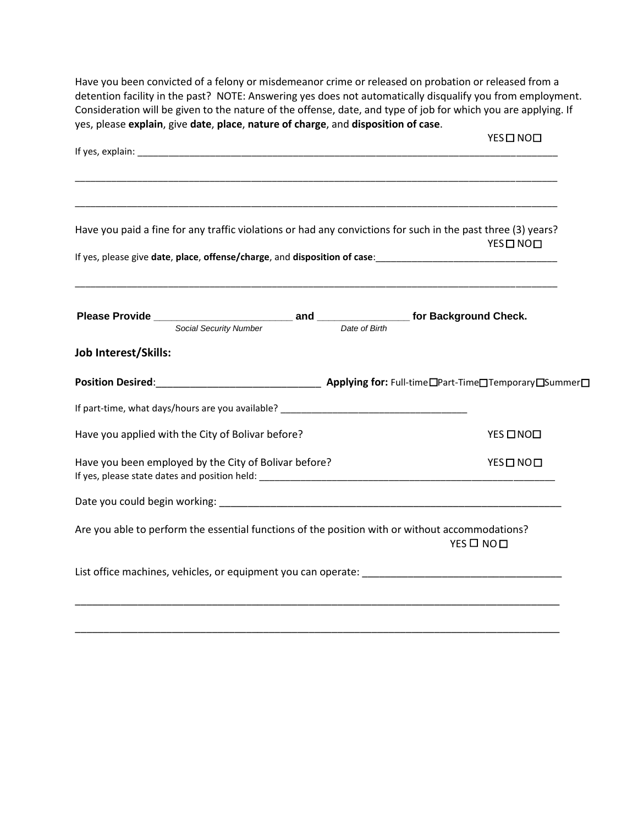Have you been convicted of a felony or misdemeanor crime or released on probation or released from a detention facility in the past? NOTE: Answering yes does not automatically disqualify you from employment. Consideration will be given to the nature of the offense, date, and type of job for which you are applying. If yes, please **explain**, give **date**, **place**, **nature of charge**, and **disposition of case**.

|                                                                                                            | YES ONOO                                                                                                                                                                                   |
|------------------------------------------------------------------------------------------------------------|--------------------------------------------------------------------------------------------------------------------------------------------------------------------------------------------|
|                                                                                                            |                                                                                                                                                                                            |
|                                                                                                            |                                                                                                                                                                                            |
|                                                                                                            | Have you paid a fine for any traffic violations or had any convictions for such in the past three (3) years?<br>YES ONOO                                                                   |
|                                                                                                            | If yes, please give date, place, offense/charge, and disposition of case:<br>Same Case: 2008. [2016] The Case of Case of the Case of the Case of the Case of the Case of the Case of the C |
|                                                                                                            |                                                                                                                                                                                            |
|                                                                                                            |                                                                                                                                                                                            |
| Job Interest/Skills:                                                                                       |                                                                                                                                                                                            |
|                                                                                                            |                                                                                                                                                                                            |
|                                                                                                            |                                                                                                                                                                                            |
|                                                                                                            |                                                                                                                                                                                            |
|                                                                                                            | YES ONOO                                                                                                                                                                                   |
| Have you applied with the City of Bolivar before?<br>Have you been employed by the City of Bolivar before? | YES ONO                                                                                                                                                                                    |
|                                                                                                            |                                                                                                                                                                                            |
|                                                                                                            | Are you able to perform the essential functions of the position with or without accommodations?<br>YES O NOO                                                                               |
|                                                                                                            |                                                                                                                                                                                            |
|                                                                                                            |                                                                                                                                                                                            |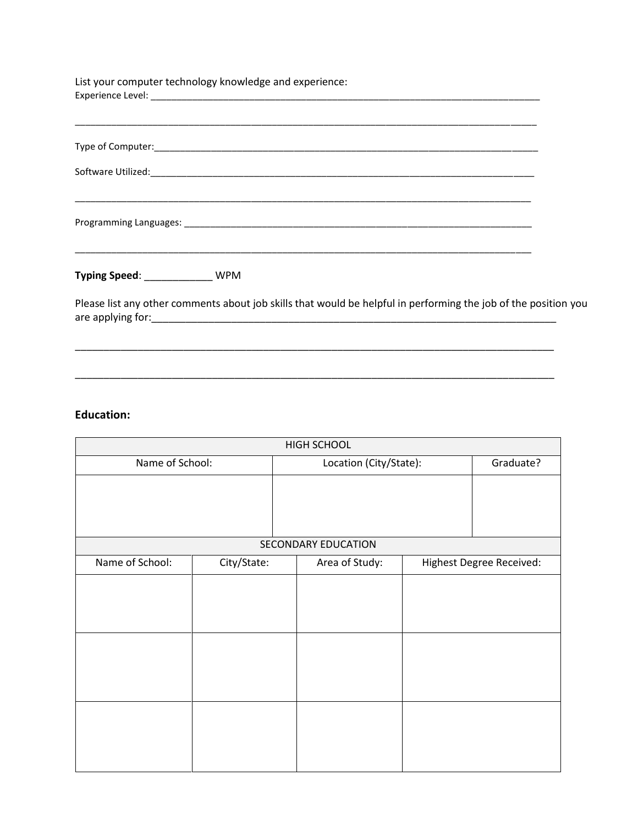List your computer technology knowledge and experience: Experience Level: \_\_\_\_\_\_\_\_\_\_\_\_\_\_\_\_\_\_\_\_\_\_\_\_\_\_\_\_\_\_\_\_\_\_\_\_\_\_\_\_\_\_\_\_\_\_\_\_\_\_\_\_\_\_\_\_\_\_\_\_\_\_\_\_\_\_\_\_\_\_\_\_\_\_\_

| Typing Speed: ____________ | <b>WPM</b> |  |  |
|----------------------------|------------|--|--|

Please list any other comments about job skills that would be helpful in performing the job of the position you are applying for:\_\_\_\_\_\_\_\_\_\_\_\_\_\_\_\_\_\_\_\_\_\_\_\_\_\_\_\_\_\_\_\_\_\_\_\_\_\_\_\_\_\_\_\_\_\_\_\_\_\_\_\_\_\_\_\_\_\_\_\_\_\_\_\_\_\_\_\_\_\_\_

\_\_\_\_\_\_\_\_\_\_\_\_\_\_\_\_\_\_\_\_\_\_\_\_\_\_\_\_\_\_\_\_\_\_\_\_\_\_\_\_\_\_\_\_\_\_\_\_\_\_\_\_\_\_\_\_\_\_\_\_\_\_\_\_\_\_\_\_\_\_\_\_\_\_\_\_\_\_\_\_\_\_\_\_

\_\_\_\_\_\_\_\_\_\_\_\_\_\_\_\_\_\_\_\_\_\_\_\_\_\_\_\_\_\_\_\_\_\_\_\_\_\_\_\_\_\_\_\_\_\_\_\_\_\_\_\_\_\_\_\_\_\_\_\_\_\_\_\_\_\_\_\_\_\_\_\_\_\_\_\_\_\_\_\_\_\_\_\_

#### **Education:**

|                 |             |                        | <b>HIGH SCHOOL</b>         |           |                          |
|-----------------|-------------|------------------------|----------------------------|-----------|--------------------------|
| Name of School: |             | Location (City/State): |                            | Graduate? |                          |
|                 |             |                        |                            |           |                          |
|                 |             |                        | <b>SECONDARY EDUCATION</b> |           |                          |
| Name of School: | City/State: |                        | Area of Study:             |           | Highest Degree Received: |
|                 |             |                        |                            |           |                          |
|                 |             |                        |                            |           |                          |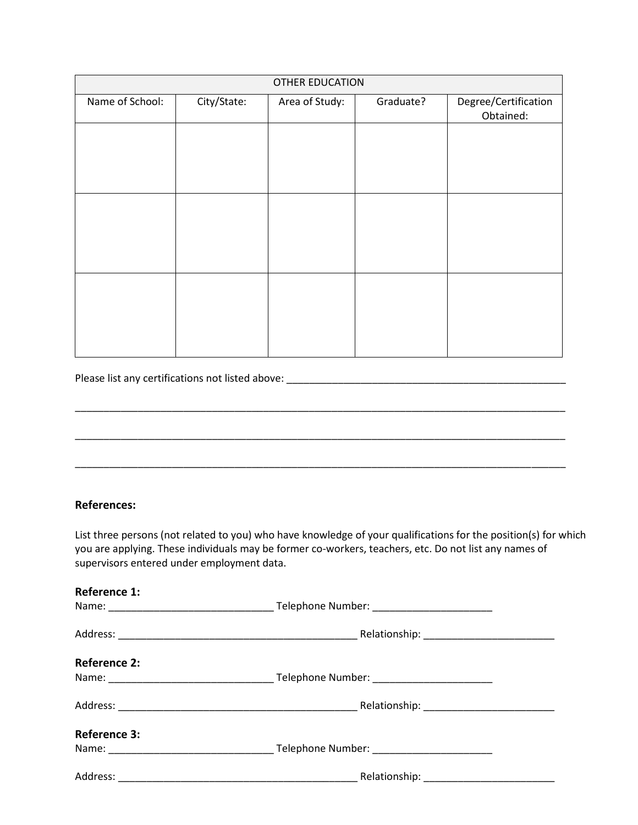|                 | <b>OTHER EDUCATION</b> |                |           |                                   |  |  |
|-----------------|------------------------|----------------|-----------|-----------------------------------|--|--|
| Name of School: | City/State:            | Area of Study: | Graduate? | Degree/Certification<br>Obtained: |  |  |
|                 |                        |                |           |                                   |  |  |
|                 |                        |                |           |                                   |  |  |
|                 |                        |                |           |                                   |  |  |
|                 |                        |                |           |                                   |  |  |
|                 |                        |                |           |                                   |  |  |
|                 |                        |                |           |                                   |  |  |
|                 |                        |                |           |                                   |  |  |
|                 |                        |                |           |                                   |  |  |
|                 |                        |                |           |                                   |  |  |
|                 |                        |                |           |                                   |  |  |

Please list any certifications not listed above: \_\_\_\_\_\_\_\_\_\_\_\_\_\_\_\_\_\_\_\_\_\_\_\_\_\_\_\_\_\_\_\_\_\_\_\_\_\_\_\_\_\_\_\_\_\_\_\_\_

#### **References:**

List three persons (not related to you) who have knowledge of your qualifications for the position(s) for which you are applying. These individuals may be former co-workers, teachers, etc. Do not list any names of supervisors entered under employment data.

\_\_\_\_\_\_\_\_\_\_\_\_\_\_\_\_\_\_\_\_\_\_\_\_\_\_\_\_\_\_\_\_\_\_\_\_\_\_\_\_\_\_\_\_\_\_\_\_\_\_\_\_\_\_\_\_\_\_\_\_\_\_\_\_\_\_\_\_\_\_\_\_\_\_\_\_\_\_\_\_\_\_\_\_\_\_

\_\_\_\_\_\_\_\_\_\_\_\_\_\_\_\_\_\_\_\_\_\_\_\_\_\_\_\_\_\_\_\_\_\_\_\_\_\_\_\_\_\_\_\_\_\_\_\_\_\_\_\_\_\_\_\_\_\_\_\_\_\_\_\_\_\_\_\_\_\_\_\_\_\_\_\_\_\_\_\_\_\_\_\_\_\_

\_\_\_\_\_\_\_\_\_\_\_\_\_\_\_\_\_\_\_\_\_\_\_\_\_\_\_\_\_\_\_\_\_\_\_\_\_\_\_\_\_\_\_\_\_\_\_\_\_\_\_\_\_\_\_\_\_\_\_\_\_\_\_\_\_\_\_\_\_\_\_\_\_\_\_\_\_\_\_\_\_\_\_\_\_\_

| <b>Reference 1:</b> |  |
|---------------------|--|
|                     |  |
|                     |  |
| <b>Reference 2:</b> |  |
|                     |  |
|                     |  |
| <b>Reference 3:</b> |  |
|                     |  |
|                     |  |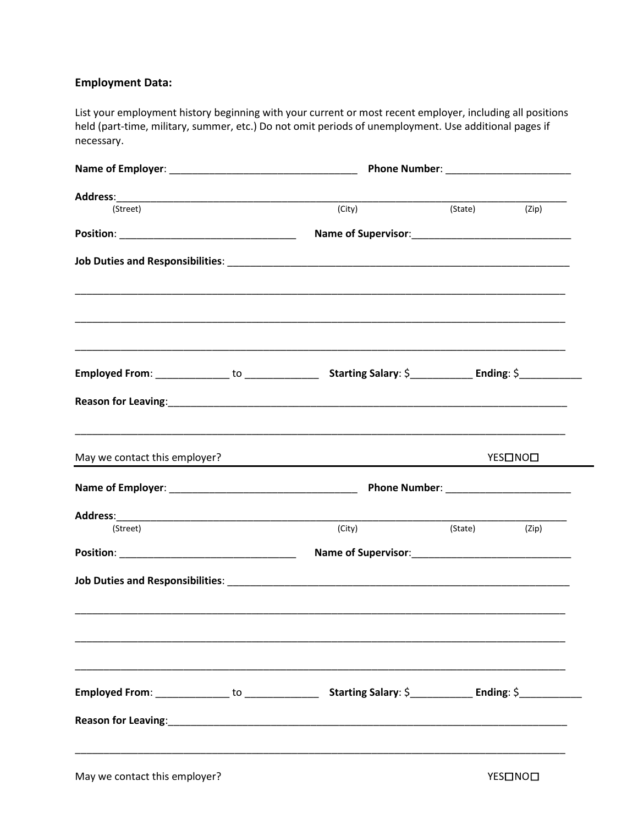### **Employment Data:**

List your employment history beginning with your current or most recent employer, including all positions held (part-time, military, summer, etc.) Do not omit periods of unemployment. Use additional pages if necessary.

|                                                                                  | Phone Number: ________________________ |         |         |  |
|----------------------------------------------------------------------------------|----------------------------------------|---------|---------|--|
|                                                                                  |                                        |         |         |  |
| (Street)                                                                         | (City)                                 | (State) | (Zip)   |  |
|                                                                                  |                                        |         |         |  |
|                                                                                  |                                        |         |         |  |
| ,我们也不能在这里的时候,我们也不能在这里的时候,我们也不能在这里的时候,我们也不能会不能在这里的时候,我们也不能会不能会不能会不能会不能会不能会不能会不能会不 |                                        |         |         |  |
|                                                                                  |                                        |         |         |  |
|                                                                                  |                                        |         |         |  |
| May we contact this employer?                                                    |                                        |         | YES□NO□ |  |
|                                                                                  |                                        |         |         |  |
|                                                                                  |                                        |         |         |  |
| (Street)                                                                         | (City)                                 | (State) | (Zip)   |  |
|                                                                                  |                                        |         |         |  |
|                                                                                  |                                        |         |         |  |
|                                                                                  |                                        |         |         |  |
|                                                                                  |                                        |         |         |  |
|                                                                                  |                                        |         |         |  |
|                                                                                  |                                        |         |         |  |
|                                                                                  |                                        |         |         |  |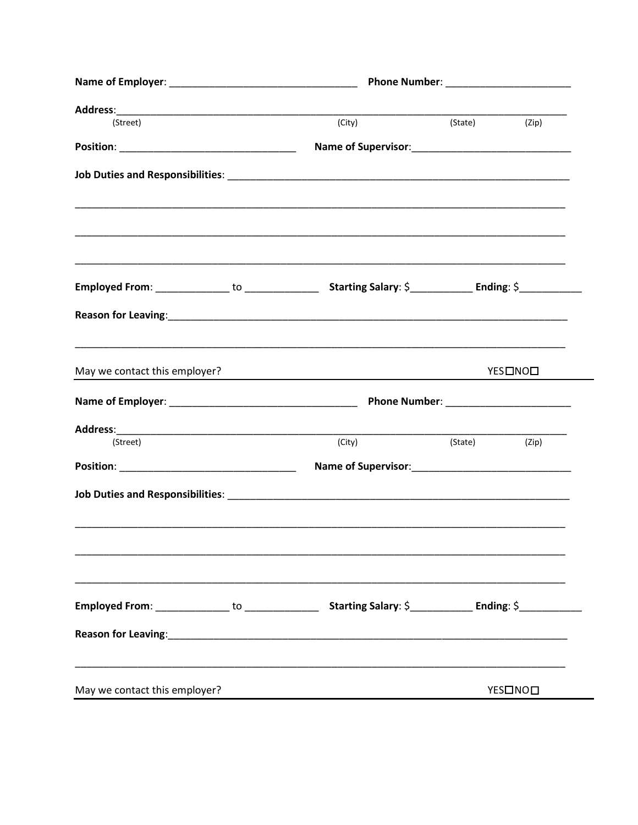| (Street)                      | (City) | (State)       | (Zip)   |  |
|-------------------------------|--------|---------------|---------|--|
|                               |        |               |         |  |
|                               |        |               |         |  |
|                               |        |               |         |  |
|                               |        |               |         |  |
|                               |        |               |         |  |
|                               |        |               |         |  |
| May we contact this employer? |        |               | YES□NO□ |  |
|                               |        |               |         |  |
|                               |        |               |         |  |
| (Street)                      | (City) | (State) (Zip) |         |  |
|                               |        |               |         |  |
|                               |        |               |         |  |
|                               |        |               |         |  |
|                               |        |               |         |  |
|                               |        |               |         |  |
| May we contact this employer? |        |               | YES□NO□ |  |